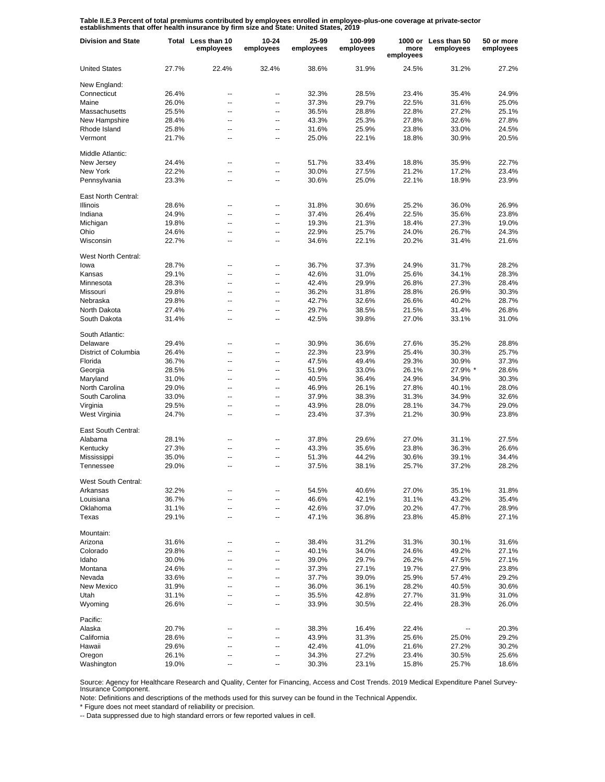**Table II.E.3 Percent of total premiums contributed by employees enrolled in employee-plus-one coverage at private-sector establishments that offer health insurance by firm size and State: United States, 2019**

| <b>Division and State</b>   |       | Total Less than 10<br>employees | $10 - 24$<br>employees | 25-99<br>employees | 100-999<br>employees | more<br>employees | 1000 or Less than 50<br>employees | 50 or more<br>employees |
|-----------------------------|-------|---------------------------------|------------------------|--------------------|----------------------|-------------------|-----------------------------------|-------------------------|
| <b>United States</b>        | 27.7% | 22.4%                           | 32.4%                  | 38.6%              | 31.9%                | 24.5%             | 31.2%                             | 27.2%                   |
| New England:                |       |                                 |                        |                    |                      |                   |                                   |                         |
| Connecticut                 | 26.4% | ц,                              | --                     | 32.3%              | 28.5%                | 23.4%             | 35.4%                             | 24.9%                   |
| Maine                       | 26.0% | ۵.                              | --                     | 37.3%              | 29.7%                | 22.5%             | 31.6%                             | 25.0%                   |
| Massachusetts               | 25.5% | --                              | --                     | 36.5%              | 28.8%                | 22.8%             | 27.2%                             | 25.1%                   |
| New Hampshire               | 28.4% | --                              | --                     | 43.3%              | 25.3%                | 27.8%             | 32.6%                             | 27.8%                   |
| Rhode Island                | 25.8% | --                              | --                     | 31.6%              | 25.9%                | 23.8%             | 33.0%                             | 24.5%                   |
| Vermont                     | 21.7% | --                              | --                     | 25.0%              | 22.1%                | 18.8%             | 30.9%                             | 20.5%                   |
| Middle Atlantic:            |       |                                 |                        |                    |                      |                   |                                   |                         |
| New Jersey                  | 24.4% | --                              | --                     | 51.7%              | 33.4%                | 18.8%             | 35.9%                             | 22.7%                   |
| New York                    | 22.2% | Ш.                              | ۰.                     | 30.0%              | 27.5%                | 21.2%             | 17.2%                             | 23.4%                   |
| Pennsylvania                | 23.3% | --                              | --                     | 30.6%              | 25.0%                | 22.1%             | 18.9%                             | 23.9%                   |
| East North Central:         |       |                                 |                        |                    |                      |                   |                                   |                         |
| <b>Illinois</b>             | 28.6% | ۵.                              | ۰.                     | 31.8%              | 30.6%                | 25.2%             | 36.0%                             | 26.9%                   |
| Indiana                     | 24.9% | ۵.                              | ۰.                     | 37.4%              | 26.4%                | 22.5%             | 35.6%                             | 23.8%                   |
| Michigan                    | 19.8% | ۵.                              | ۰.                     | 19.3%              | 21.3%                | 18.4%             | 27.3%                             | 19.0%                   |
| Ohio                        | 24.6% | Ц.                              | ٠.                     | 22.9%              | 25.7%                | 24.0%             | 26.7%                             | 24.3%                   |
| Wisconsin                   | 22.7% | ۵.                              | ٠.                     | 34.6%              | 22.1%                | 20.2%             | 31.4%                             | 21.6%                   |
| West North Central:<br>lowa | 28.7% |                                 |                        | 36.7%              |                      |                   | 31.7%                             |                         |
|                             |       | --                              | --                     |                    | 37.3%                | 24.9%             |                                   | 28.2%                   |
| Kansas                      | 29.1% | ۵.                              | --                     | 42.6%              | 31.0%                | 25.6%             | 34.1%                             | 28.3%                   |
| Minnesota                   | 28.3% | ц,                              | --                     | 42.4%              | 29.9%                | 26.8%             | 27.3%                             | 28.4%                   |
| Missouri                    | 29.8% | --                              | --                     | 36.2%              | 31.8%                | 28.8%             | 26.9%                             | 30.3%                   |
| Nebraska                    | 29.8% | --                              | --                     | 42.7%              | 32.6%                | 26.6%             | 40.2%                             | 28.7%                   |
| North Dakota                | 27.4% | --                              | --                     | 29.7%              | 38.5%                | 21.5%             | 31.4%                             | 26.8%                   |
| South Dakota                | 31.4% | --                              | --                     | 42.5%              | 39.8%                | 27.0%             | 33.1%                             | 31.0%                   |
| South Atlantic:             |       |                                 |                        |                    |                      |                   |                                   |                         |
| Delaware                    | 29.4% | --                              | $\overline{a}$         | 30.9%              | 36.6%                | 27.6%             | 35.2%                             | 28.8%                   |
| District of Columbia        | 26.4% | $\overline{a}$                  | -−                     | 22.3%              | 23.9%                | 25.4%             | 30.3%                             | 25.7%                   |
| Florida                     | 36.7% | --                              | ٠.                     | 47.5%              | 49.4%                | 29.3%             | 30.9%                             | 37.3%                   |
| Georgia                     | 28.5% | --                              | --                     | 51.9%              | 33.0%                | 26.1%             | 27.9% *                           | 28.6%                   |
| Maryland                    | 31.0% | Ш.                              | ۰.                     | 40.5%              | 36.4%                | 24.9%             | 34.9%                             | 30.3%                   |
| North Carolina              | 29.0% | $\overline{a}$                  | --                     | 46.9%              | 26.1%                | 27.8%             | 40.1%                             | 28.0%                   |
| South Carolina              | 33.0% | --                              | ۰.                     | 37.9%              | 38.3%                | 31.3%             | 34.9%                             | 32.6%                   |
| Virginia                    | 29.5% | --                              | --                     | 43.9%              | 28.0%                | 28.1%             | 34.7%                             | 29.0%                   |
| West Virginia               | 24.7% | Ш.                              | ۰.                     | 23.4%              | 37.3%                | 21.2%             | 30.9%                             | 23.8%                   |
| East South Central:         |       |                                 |                        |                    |                      |                   |                                   |                         |
| Alabama                     | 28.1% | --                              | $\overline{a}$         | 37.8%              | 29.6%                | 27.0%             | 31.1%                             | 27.5%                   |
| Kentucky                    | 27.3% |                                 | ۰.                     | 43.3%              | 35.6%                | 23.8%             | 36.3%                             | 26.6%                   |
| Mississippi                 | 35.0% | ц,                              | ٠.                     | 51.3%              | 44.2%                | 30.6%             | 39.1%                             | 34.4%                   |
| Tennessee                   | 29.0% | ۵.                              | ۰.                     | 37.5%              | 38.1%                | 25.7%             | 37.2%                             | 28.2%                   |
| West South Central:         |       |                                 |                        |                    |                      |                   |                                   |                         |
| Arkansas                    | 32.2% |                                 |                        | 54.5%              | 40.6%                | 27.0%             | 35.1%                             | 31.8%                   |
| Louisiana                   | 36.7% | ц,                              |                        | 46.6%              | 42.1%                | 31.1%             | 43.2%                             | 35.4%                   |
| Oklahoma                    | 31.1% | Ц.                              | --                     | 42.6%              | 37.0%                | 20.2%             | 47.7%                             | 28.9%                   |
| Texas                       | 29.1% | -−                              | --                     | 47.1%              | 36.8%                | 23.8%             | 45.8%                             | 27.1%                   |
| Mountain:                   |       |                                 |                        |                    |                      |                   |                                   |                         |
| Arizona                     | 31.6% | --                              | ⊷                      | 38.4%              | 31.2%                | 31.3%             | 30.1%                             | 31.6%                   |
| Colorado                    | 29.8% | --                              | --                     | 40.1%              | 34.0%                | 24.6%             | 49.2%                             | 27.1%                   |
| Idaho                       | 30.0% | --                              | --                     | 39.0%              | 29.7%                | 26.2%             | 47.5%                             | 27.1%                   |
| Montana                     | 24.6% | Ш.                              | --                     | 37.3%              | 27.1%                | 19.7%             | 27.9%                             | 23.8%                   |
| Nevada                      | 33.6% | --                              | --                     | 37.7%              | 39.0%                | 25.9%             | 57.4%                             | 29.2%                   |
| New Mexico                  | 31.9% | --                              | --                     | 36.0%              | 36.1%                | 28.2%             | 40.5%                             | 30.6%                   |
| Utah                        | 31.1% | --                              | --                     | 35.5%              | 42.8%                | 27.7%             | 31.9%                             | 31.0%                   |
| Wyoming                     | 26.6% | Ш.                              | −−                     | 33.9%              | 30.5%                | 22.4%             | 28.3%                             | 26.0%                   |
| Pacific:                    |       |                                 |                        |                    |                      |                   |                                   |                         |
| Alaska                      | 20.7% |                                 | --                     | 38.3%              | 16.4%                | 22.4%             |                                   | 20.3%                   |
| California                  | 28.6% |                                 | --                     | 43.9%              | 31.3%                | 25.6%             | 25.0%                             | 29.2%                   |
| Hawaii                      | 29.6% |                                 | --                     | 42.4%              | 41.0%                | 21.6%             | 27.2%                             | 30.2%                   |
| Oregon                      | 26.1% |                                 | --                     | 34.3%              | 27.2%                | 23.4%             | 30.5%                             | 25.6%                   |
| Washington                  | 19.0% |                                 |                        | 30.3%              | 23.1%                | 15.8%             | 25.7%                             | 18.6%                   |

Source: Agency for Healthcare Research and Quality, Center for Financing, Access and Cost Trends. 2019 Medical Expenditure Panel Survey-Insurance Component.

Note: Definitions and descriptions of the methods used for this survey can be found in the Technical Appendix.

\* Figure does not meet standard of reliability or precision.

-- Data suppressed due to high standard errors or few reported values in cell.